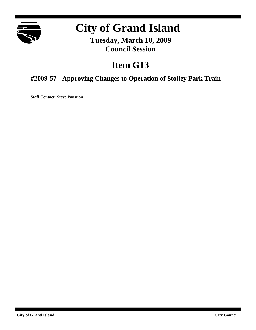

# **City of Grand Island**

**Tuesday, March 10, 2009 Council Session**

# **Item G13**

**#2009-57 - Approving Changes to Operation of Stolley Park Train**

**Staff Contact: Steve Paustian**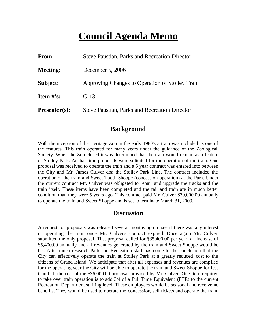# **Council Agenda Memo**

| <b>From:</b>                   | <b>Steve Paustian, Parks and Recreation Director</b> |
|--------------------------------|------------------------------------------------------|
| <b>Meeting:</b>                | December 5, 2006                                     |
| Subject:                       | Approving Changes to Operation of Stolley Train      |
| <b>Item <math>\#</math>'s:</b> | $G-13$                                               |
| $Presenter(s):$                | <b>Steve Paustian, Parks and Recreation Director</b> |

#### **Background**

With the inception of the Heritage Zoo in the early 1980's a train was included as one of the features. This train operated for many years under the guidance of the Zoological Society. When the Zoo closed it was determined that the train would remain as a feature of Stolley Park. At that time proposals were solicited for the operation of the train. One proposal was received to operate the train and a 5 year contract was entered into between the City and Mr. James Culver dba the Stolley Park Line. The contract included the operation of the train and Sweet Tooth Shoppe (concession operation) at the Park. Under the current contract Mr. Culver was obligated to repair and upgrade the tracks and the train itself. These items have been completed and the rail and train are in much better condition than they were 5 years ago. This contract paid Mr. Culver \$30,000.00 annually to operate the train and Sweet Shoppe and is set to terminate March 31, 2009.

#### **Discussion**

A request for proposals was released several months ago to see if there was any interest in operating the train once Mr. Culver's contract expired. Once again Mr. Culver submitted the only proposal. That proposal called for \$35,400.00 per year, an increase of \$5,400.00 annually and all revenues generated by the train and Sweet Shoppe would be his. After much research Park and Recreation staff has come to the conclusion that the City can effectively operate the train at Stolley Park at a greatly reduced cost to the citizens of Grand Island. We anticipate that after all expenses and revenues are compiled for the operating year the City will be able to operate the train and Sweet Shoppe for less than half the cost of the \$36,000.00 proposal provided by Mr. Culver. One item required to take over train operation is to add 3/4 of a Full Time Equivalent (FTE) to the current Recreation Department staffing level. These employees would be seasonal and receive no benefits. They would be used to operate the concession, sell tickets and operate the train.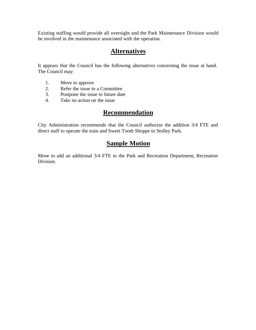Existing staffing would provide all oversight and the Park Maintenance Division would be involved in the maintenance associated with the operation.

### **Alternatives**

It appears that the Council has the following alternatives concerning the issue at hand. The Council may:

- 1. Move to approve
- 2. Refer the issue to a Committee<br>3. Postpone the issue to future date
- Postpone the issue to future date
- 4. Take no action on the issue

### **Recommendation**

City Administration recommends that the Council authorize the addition 3/4 FTE and direct staff to operate the train and Sweet Tooth Shoppe in Stolley Park.

## **Sample Motion**

Move to add an additional 3/4 FTE to the Park and Recreation Department, Recreation Division.